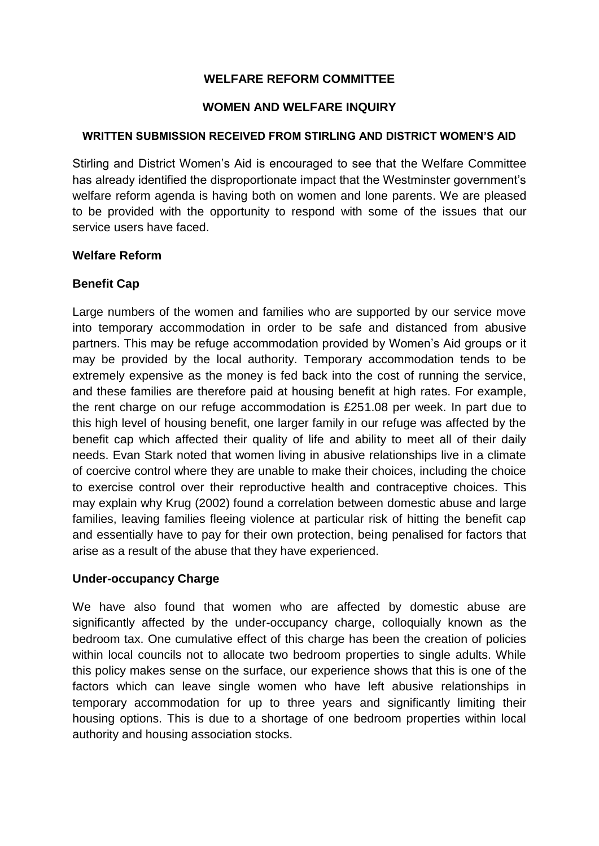# **WELFARE REFORM COMMITTEE**

#### **WOMEN AND WELFARE INQUIRY**

#### **WRITTEN SUBMISSION RECEIVED FROM STIRLING AND DISTRICT WOMEN'S AID**

Stirling and District Women's Aid is encouraged to see that the Welfare Committee has already identified the disproportionate impact that the Westminster government's welfare reform agenda is having both on women and lone parents. We are pleased to be provided with the opportunity to respond with some of the issues that our service users have faced.

#### **Welfare Reform**

#### **Benefit Cap**

Large numbers of the women and families who are supported by our service move into temporary accommodation in order to be safe and distanced from abusive partners. This may be refuge accommodation provided by Women's Aid groups or it may be provided by the local authority. Temporary accommodation tends to be extremely expensive as the money is fed back into the cost of running the service, and these families are therefore paid at housing benefit at high rates. For example, the rent charge on our refuge accommodation is £251.08 per week. In part due to this high level of housing benefit, one larger family in our refuge was affected by the benefit cap which affected their quality of life and ability to meet all of their daily needs. Evan Stark noted that women living in abusive relationships live in a climate of coercive control where they are unable to make their choices, including the choice to exercise control over their reproductive health and contraceptive choices. This may explain why Krug (2002) found a correlation between domestic abuse and large families, leaving families fleeing violence at particular risk of hitting the benefit cap and essentially have to pay for their own protection, being penalised for factors that arise as a result of the abuse that they have experienced.

## **Under-occupancy Charge**

We have also found that women who are affected by domestic abuse are significantly affected by the under-occupancy charge, colloquially known as the bedroom tax. One cumulative effect of this charge has been the creation of policies within local councils not to allocate two bedroom properties to single adults. While this policy makes sense on the surface, our experience shows that this is one of the factors which can leave single women who have left abusive relationships in temporary accommodation for up to three years and significantly limiting their housing options. This is due to a shortage of one bedroom properties within local authority and housing association stocks.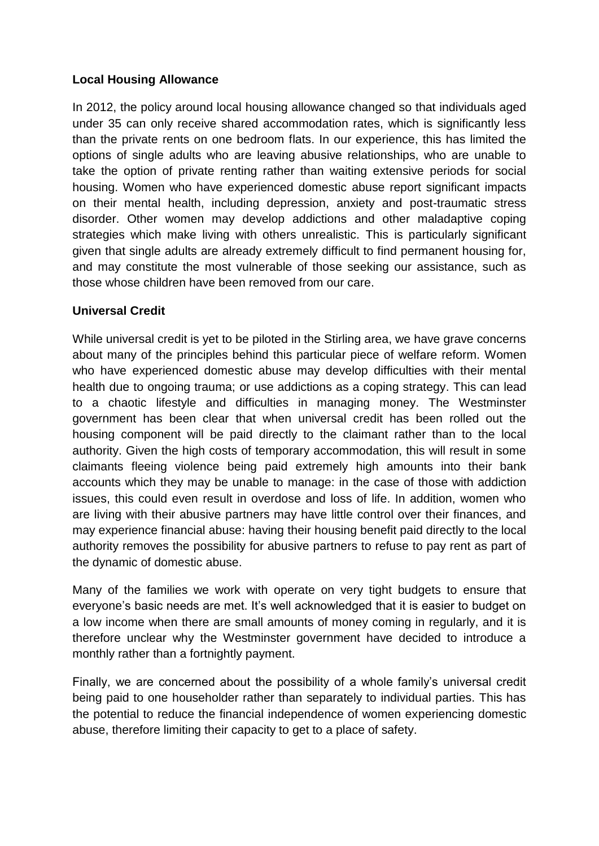## **Local Housing Allowance**

In 2012, the policy around local housing allowance changed so that individuals aged under 35 can only receive shared accommodation rates, which is significantly less than the private rents on one bedroom flats. In our experience, this has limited the options of single adults who are leaving abusive relationships, who are unable to take the option of private renting rather than waiting extensive periods for social housing. Women who have experienced domestic abuse report significant impacts on their mental health, including depression, anxiety and post-traumatic stress disorder. Other women may develop addictions and other maladaptive coping strategies which make living with others unrealistic. This is particularly significant given that single adults are already extremely difficult to find permanent housing for, and may constitute the most vulnerable of those seeking our assistance, such as those whose children have been removed from our care.

## **Universal Credit**

While universal credit is yet to be piloted in the Stirling area, we have grave concerns about many of the principles behind this particular piece of welfare reform. Women who have experienced domestic abuse may develop difficulties with their mental health due to ongoing trauma; or use addictions as a coping strategy. This can lead to a chaotic lifestyle and difficulties in managing money. The Westminster government has been clear that when universal credit has been rolled out the housing component will be paid directly to the claimant rather than to the local authority. Given the high costs of temporary accommodation, this will result in some claimants fleeing violence being paid extremely high amounts into their bank accounts which they may be unable to manage: in the case of those with addiction issues, this could even result in overdose and loss of life. In addition, women who are living with their abusive partners may have little control over their finances, and may experience financial abuse: having their housing benefit paid directly to the local authority removes the possibility for abusive partners to refuse to pay rent as part of the dynamic of domestic abuse.

Many of the families we work with operate on very tight budgets to ensure that everyone's basic needs are met. It's well acknowledged that it is easier to budget on a low income when there are small amounts of money coming in regularly, and it is therefore unclear why the Westminster government have decided to introduce a monthly rather than a fortnightly payment.

Finally, we are concerned about the possibility of a whole family's universal credit being paid to one householder rather than separately to individual parties. This has the potential to reduce the financial independence of women experiencing domestic abuse, therefore limiting their capacity to get to a place of safety.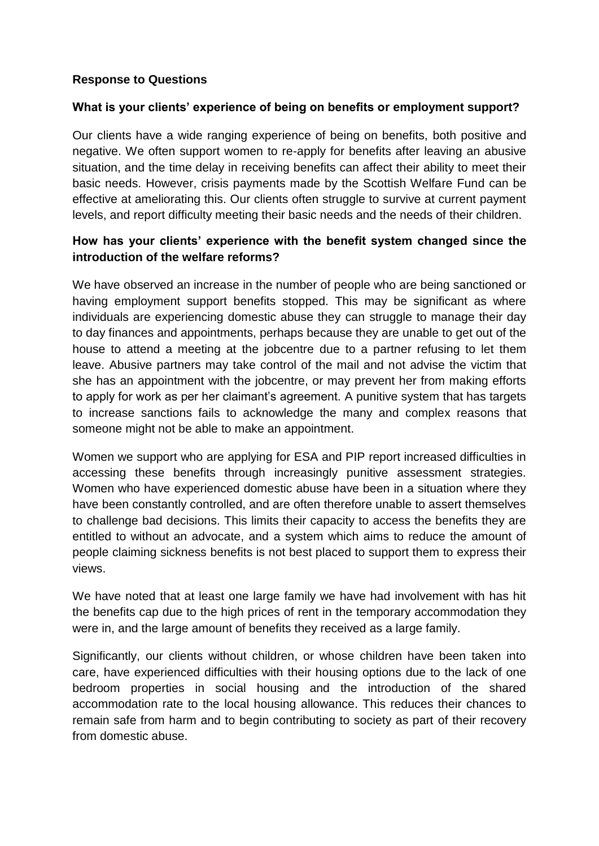## **Response to Questions**

#### **What is your clients' experience of being on benefits or employment support?**

Our clients have a wide ranging experience of being on benefits, both positive and negative. We often support women to re-apply for benefits after leaving an abusive situation, and the time delay in receiving benefits can affect their ability to meet their basic needs. However, crisis payments made by the Scottish Welfare Fund can be effective at ameliorating this. Our clients often struggle to survive at current payment levels, and report difficulty meeting their basic needs and the needs of their children.

# **How has your clients' experience with the benefit system changed since the introduction of the welfare reforms?**

We have observed an increase in the number of people who are being sanctioned or having employment support benefits stopped. This may be significant as where individuals are experiencing domestic abuse they can struggle to manage their day to day finances and appointments, perhaps because they are unable to get out of the house to attend a meeting at the jobcentre due to a partner refusing to let them leave. Abusive partners may take control of the mail and not advise the victim that she has an appointment with the jobcentre, or may prevent her from making efforts to apply for work as per her claimant's agreement. A punitive system that has targets to increase sanctions fails to acknowledge the many and complex reasons that someone might not be able to make an appointment.

Women we support who are applying for ESA and PIP report increased difficulties in accessing these benefits through increasingly punitive assessment strategies. Women who have experienced domestic abuse have been in a situation where they have been constantly controlled, and are often therefore unable to assert themselves to challenge bad decisions. This limits their capacity to access the benefits they are entitled to without an advocate, and a system which aims to reduce the amount of people claiming sickness benefits is not best placed to support them to express their views.

We have noted that at least one large family we have had involvement with has hit the benefits cap due to the high prices of rent in the temporary accommodation they were in, and the large amount of benefits they received as a large family.

Significantly, our clients without children, or whose children have been taken into care, have experienced difficulties with their housing options due to the lack of one bedroom properties in social housing and the introduction of the shared accommodation rate to the local housing allowance. This reduces their chances to remain safe from harm and to begin contributing to society as part of their recovery from domestic abuse.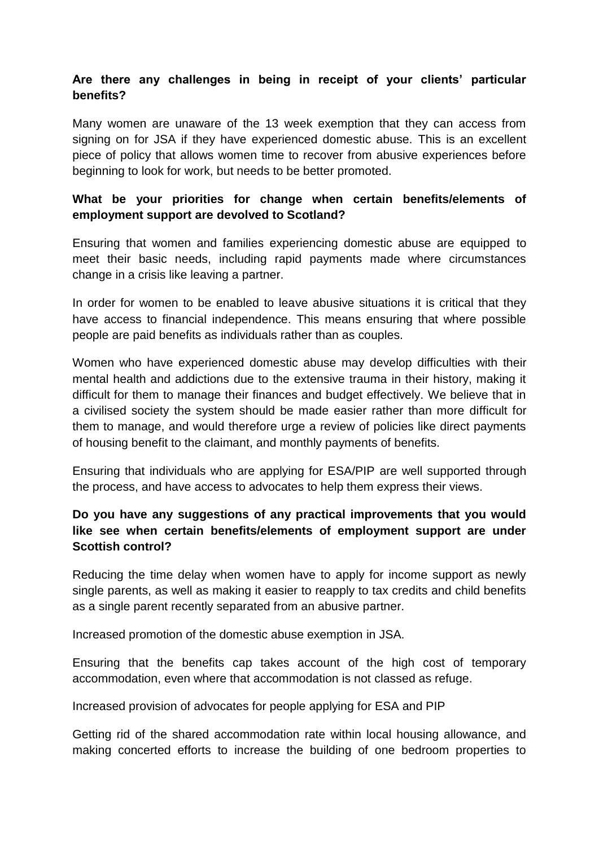# **Are there any challenges in being in receipt of your clients' particular benefits?**

Many women are unaware of the 13 week exemption that they can access from signing on for JSA if they have experienced domestic abuse. This is an excellent piece of policy that allows women time to recover from abusive experiences before beginning to look for work, but needs to be better promoted.

## **What be your priorities for change when certain benefits/elements of employment support are devolved to Scotland?**

Ensuring that women and families experiencing domestic abuse are equipped to meet their basic needs, including rapid payments made where circumstances change in a crisis like leaving a partner.

In order for women to be enabled to leave abusive situations it is critical that they have access to financial independence. This means ensuring that where possible people are paid benefits as individuals rather than as couples.

Women who have experienced domestic abuse may develop difficulties with their mental health and addictions due to the extensive trauma in their history, making it difficult for them to manage their finances and budget effectively. We believe that in a civilised society the system should be made easier rather than more difficult for them to manage, and would therefore urge a review of policies like direct payments of housing benefit to the claimant, and monthly payments of benefits.

Ensuring that individuals who are applying for ESA/PIP are well supported through the process, and have access to advocates to help them express their views.

# **Do you have any suggestions of any practical improvements that you would like see when certain benefits/elements of employment support are under Scottish control?**

Reducing the time delay when women have to apply for income support as newly single parents, as well as making it easier to reapply to tax credits and child benefits as a single parent recently separated from an abusive partner.

Increased promotion of the domestic abuse exemption in JSA.

Ensuring that the benefits cap takes account of the high cost of temporary accommodation, even where that accommodation is not classed as refuge.

Increased provision of advocates for people applying for ESA and PIP

Getting rid of the shared accommodation rate within local housing allowance, and making concerted efforts to increase the building of one bedroom properties to